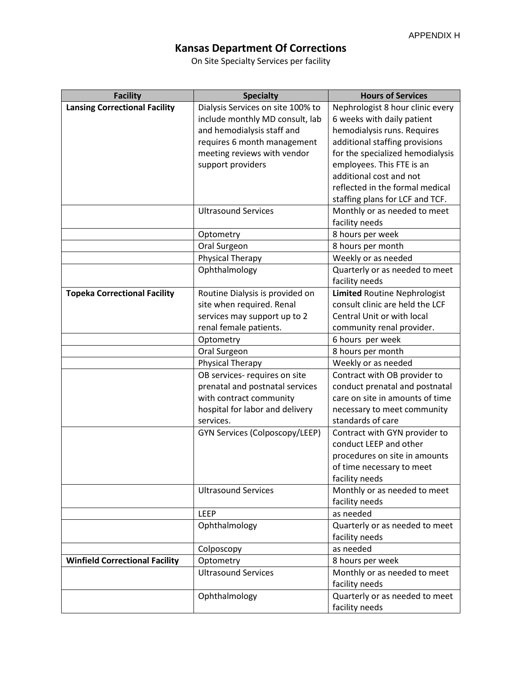## **Kansas Department Of Corrections**

On Site Specialty Services per facility

| <b>Facility</b>                       | <b>Specialty</b>                                             | <b>Hours of Services</b>                         |
|---------------------------------------|--------------------------------------------------------------|--------------------------------------------------|
| <b>Lansing Correctional Facility</b>  | Dialysis Services on site 100% to                            | Nephrologist 8 hour clinic every                 |
|                                       | include monthly MD consult, lab                              | 6 weeks with daily patient                       |
|                                       | and hemodialysis staff and                                   | hemodialysis runs. Requires                      |
|                                       | requires 6 month management                                  | additional staffing provisions                   |
|                                       | meeting reviews with vendor                                  | for the specialized hemodialysis                 |
|                                       | support providers                                            | employees. This FTE is an                        |
|                                       |                                                              | additional cost and not                          |
|                                       |                                                              | reflected in the formal medical                  |
|                                       |                                                              | staffing plans for LCF and TCF.                  |
|                                       | <b>Ultrasound Services</b>                                   | Monthly or as needed to meet                     |
|                                       |                                                              | facility needs                                   |
|                                       | Optometry                                                    | 8 hours per week                                 |
|                                       | Oral Surgeon                                                 | 8 hours per month                                |
|                                       | Physical Therapy                                             | Weekly or as needed                              |
|                                       | Ophthalmology                                                | Quarterly or as needed to meet<br>facility needs |
| <b>Topeka Correctional Facility</b>   |                                                              | <b>Limited Routine Nephrologist</b>              |
|                                       | Routine Dialysis is provided on<br>site when required. Renal | consult clinic are held the LCF                  |
|                                       | services may support up to 2                                 | Central Unit or with local                       |
|                                       | renal female patients.                                       | community renal provider.                        |
|                                       | Optometry                                                    | 6 hours per week                                 |
|                                       | Oral Surgeon                                                 | 8 hours per month                                |
|                                       | <b>Physical Therapy</b>                                      | Weekly or as needed                              |
|                                       | OB services- requires on site                                | Contract with OB provider to                     |
|                                       | prenatal and postnatal services                              | conduct prenatal and postnatal                   |
|                                       | with contract community                                      | care on site in amounts of time                  |
|                                       | hospital for labor and delivery                              | necessary to meet community                      |
|                                       | services.                                                    | standards of care                                |
|                                       | GYN Services (Colposcopy/LEEP)                               | Contract with GYN provider to                    |
|                                       |                                                              | conduct LEEP and other                           |
|                                       |                                                              | procedures on site in amounts                    |
|                                       |                                                              | of time necessary to meet                        |
|                                       |                                                              | facility needs                                   |
|                                       | <b>Ultrasound Services</b>                                   | Monthly or as needed to meet                     |
|                                       |                                                              | facility needs                                   |
|                                       | LEEP                                                         | as needed                                        |
|                                       | Ophthalmology                                                | Quarterly or as needed to meet                   |
|                                       |                                                              | facility needs                                   |
|                                       | Colposcopy                                                   | as needed                                        |
| <b>Winfield Correctional Facility</b> | Optometry                                                    | 8 hours per week                                 |
|                                       | <b>Ultrasound Services</b>                                   | Monthly or as needed to meet                     |
|                                       |                                                              | facility needs                                   |
|                                       | Ophthalmology                                                | Quarterly or as needed to meet                   |
|                                       |                                                              | facility needs                                   |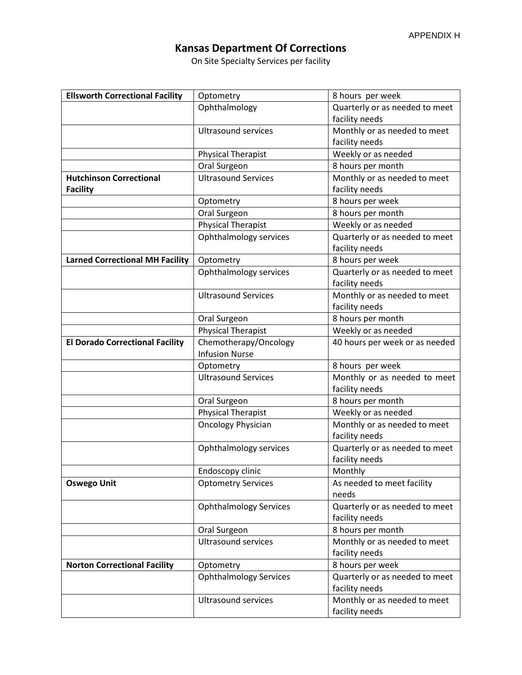## **Kansas Department Of Corrections**

On Site Specialty Services per facility

| <b>Ellsworth Correctional Facility</b> | Optometry                     | 8 hours per week                                 |
|----------------------------------------|-------------------------------|--------------------------------------------------|
|                                        | Ophthalmology                 | Quarterly or as needed to meet                   |
|                                        |                               | facility needs                                   |
|                                        | <b>Ultrasound services</b>    | Monthly or as needed to meet                     |
|                                        |                               | facility needs                                   |
|                                        | <b>Physical Therapist</b>     | Weekly or as needed                              |
|                                        | Oral Surgeon                  | 8 hours per month                                |
| <b>Hutchinson Correctional</b>         | <b>Ultrasound Services</b>    | Monthly or as needed to meet                     |
| <b>Facility</b>                        |                               | facility needs                                   |
|                                        | Optometry                     | 8 hours per week                                 |
|                                        | Oral Surgeon                  | 8 hours per month                                |
|                                        | <b>Physical Therapist</b>     | Weekly or as needed                              |
|                                        | Ophthalmology services        | Quarterly or as needed to meet<br>facility needs |
| <b>Larned Correctional MH Facility</b> | Optometry                     | 8 hours per week                                 |
|                                        | Ophthalmology services        | Quarterly or as needed to meet<br>facility needs |
|                                        | <b>Ultrasound Services</b>    | Monthly or as needed to meet<br>facility needs   |
|                                        | Oral Surgeon                  | 8 hours per month                                |
|                                        | <b>Physical Therapist</b>     | Weekly or as needed                              |
| <b>El Dorado Correctional Facility</b> | Chemotherapy/Oncology         | 40 hours per week or as needed                   |
|                                        | <b>Infusion Nurse</b>         |                                                  |
|                                        | Optometry                     | 8 hours per week                                 |
|                                        | <b>Ultrasound Services</b>    | Monthly or as needed to meet                     |
|                                        |                               | facility needs                                   |
|                                        | Oral Surgeon                  | 8 hours per month                                |
|                                        | <b>Physical Therapist</b>     | Weekly or as needed                              |
|                                        | <b>Oncology Physician</b>     | Monthly or as needed to meet<br>facility needs   |
|                                        | Ophthalmology services        | Quarterly or as needed to meet<br>facility needs |
|                                        | Endoscopy clinic              | Monthly                                          |
| <b>Oswego Unit</b>                     | <b>Optometry Services</b>     | As needed to meet facility<br>needs              |
|                                        | <b>Ophthalmology Services</b> | Quarterly or as needed to meet<br>facility needs |
|                                        | Oral Surgeon                  | 8 hours per month                                |
|                                        | <b>Ultrasound services</b>    | Monthly or as needed to meet                     |
|                                        |                               | facility needs                                   |
| <b>Norton Correctional Facility</b>    | Optometry                     | 8 hours per week                                 |
|                                        | <b>Ophthalmology Services</b> | Quarterly or as needed to meet<br>facility needs |
|                                        | <b>Ultrasound services</b>    | Monthly or as needed to meet<br>facility needs   |